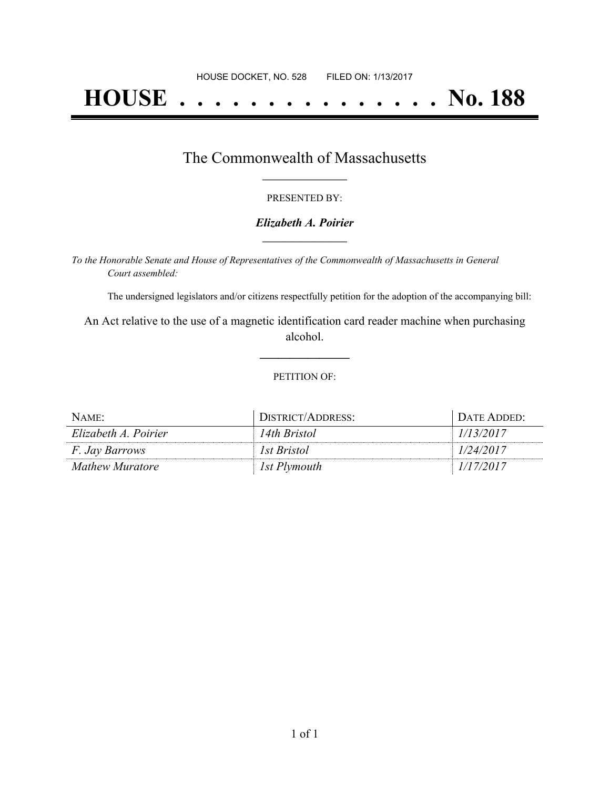# **HOUSE . . . . . . . . . . . . . . . No. 188**

## The Commonwealth of Massachusetts **\_\_\_\_\_\_\_\_\_\_\_\_\_\_\_\_\_**

#### PRESENTED BY:

#### *Elizabeth A. Poirier* **\_\_\_\_\_\_\_\_\_\_\_\_\_\_\_\_\_**

*To the Honorable Senate and House of Representatives of the Commonwealth of Massachusetts in General Court assembled:*

The undersigned legislators and/or citizens respectfully petition for the adoption of the accompanying bill:

An Act relative to the use of a magnetic identification card reader machine when purchasing alcohol.

**\_\_\_\_\_\_\_\_\_\_\_\_\_\_\_**

#### PETITION OF:

| NAME:                 | DISTRICT/ADDRESS: | DATE ADDED: |
|-----------------------|-------------------|-------------|
| Elizabeth A. Poirier  | 14th Bristol      | 1/13/2017   |
| <i>F. Jay Barrows</i> | 1st Bristol       | 1/24/2017   |
| Mathew Muratore       | 1st Plymouth      | 1/17/2017   |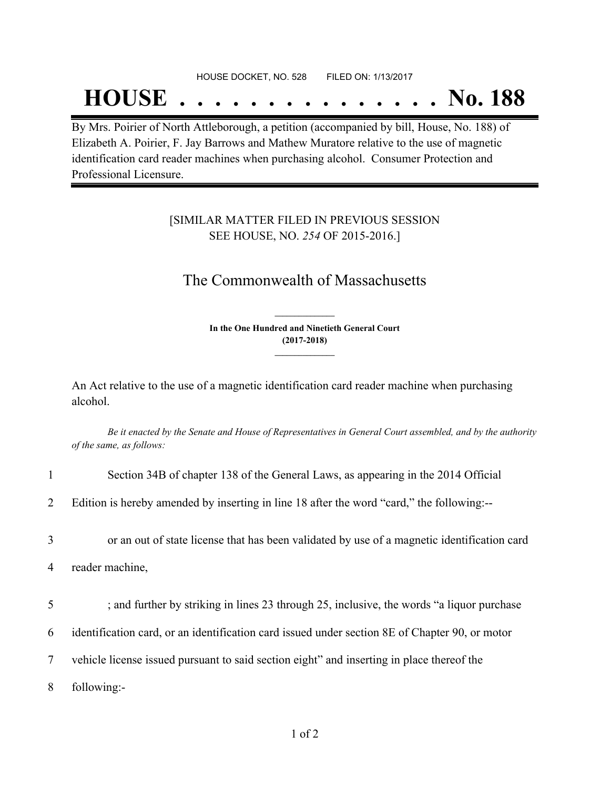#### HOUSE DOCKET, NO. 528 FILED ON: 1/13/2017

## **HOUSE . . . . . . . . . . . . . . . No. 188**

By Mrs. Poirier of North Attleborough, a petition (accompanied by bill, House, No. 188) of Elizabeth A. Poirier, F. Jay Barrows and Mathew Muratore relative to the use of magnetic identification card reader machines when purchasing alcohol. Consumer Protection and Professional Licensure.

### [SIMILAR MATTER FILED IN PREVIOUS SESSION SEE HOUSE, NO. *254* OF 2015-2016.]

## The Commonwealth of Massachusetts

**In the One Hundred and Ninetieth General Court (2017-2018) \_\_\_\_\_\_\_\_\_\_\_\_\_\_\_**

**\_\_\_\_\_\_\_\_\_\_\_\_\_\_\_**

An Act relative to the use of a magnetic identification card reader machine when purchasing alcohol.

Be it enacted by the Senate and House of Representatives in General Court assembled, and by the authority *of the same, as follows:*

| 1 | Section 34B of chapter 138 of the General Laws, as appearing in the 2014 Official              |
|---|------------------------------------------------------------------------------------------------|
| 2 | Edition is hereby amended by inserting in line 18 after the word "card," the following:--      |
| 3 | or an out of state license that has been validated by use of a magnetic identification card    |
| 4 | reader machine,                                                                                |
| 5 | ; and further by striking in lines 23 through 25, inclusive, the words "a liquor purchase"     |
| 6 | identification card, or an identification card issued under section 8E of Chapter 90, or motor |
|   |                                                                                                |
| 7 | vehicle license issued pursuant to said section eight" and inserting in place thereof the      |